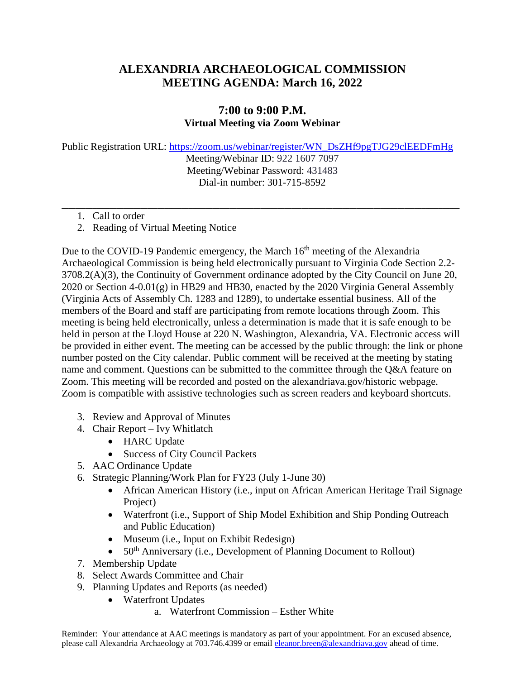## **ALEXANDRIA ARCHAEOLOGICAL COMMISSION MEETING AGENDA: March 16, 2022**

## **7:00 to 9:00 P.M. Virtual Meeting via Zoom Webinar**

Public Registration URL: [https://zoom.us/webinar/register/WN\\_DsZHf9pgTJG29clEEDFmHg](https://zoom.us/webinar/register/WN_DsZHf9pgTJG29clEEDFmHg)

Meeting/Webinar ID: 922 1607 7097 Meeting/Webinar Password: 431483 Dial-in number: 301-715-8592

**\_\_\_\_\_\_\_\_\_\_\_\_\_\_\_\_\_\_\_\_\_\_\_\_\_\_\_\_\_\_\_\_\_\_\_\_\_\_\_\_\_\_\_\_\_\_\_\_\_\_\_\_\_\_\_\_\_\_\_\_\_\_\_\_\_\_\_\_\_\_\_\_\_\_\_\_\_\_\_\_\_\_\_\_\_\_\_\_\_\_\_\_\_\_\_\_\_\_\_\_\_\_\_\_\_\_\_\_\_\_\_\_\_\_\_\_**

- 1. Call to order
- 2. Reading of Virtual Meeting Notice

Due to the COVID-19 Pandemic emergency, the March 16<sup>th</sup> meeting of the Alexandria Archaeological Commission is being held electronically pursuant to Virginia Code Section 2.2- 3708.2(A)(3), the Continuity of Government ordinance adopted by the City Council on June 20, 2020 or Section 4-0.01(g) in HB29 and HB30, enacted by the 2020 Virginia General Assembly (Virginia Acts of Assembly Ch. 1283 and 1289), to undertake essential business. All of the members of the Board and staff are participating from remote locations through Zoom. This meeting is being held electronically, unless a determination is made that it is safe enough to be held in person at the Lloyd House at 220 N. Washington, Alexandria, VA. Electronic access will be provided in either event. The meeting can be accessed by the public through: the link or phone number posted on the City calendar. Public comment will be received at the meeting by stating name and comment. Questions can be submitted to the committee through the Q&A feature on Zoom. This meeting will be recorded and posted on the alexandriava.gov/historic webpage. Zoom is compatible with assistive technologies such as screen readers and keyboard shortcuts.

- 3. Review and Approval of Minutes
- 4. Chair Report Ivy Whitlatch
	- HARC Update
	- Success of City Council Packets
- 5. AAC Ordinance Update
- 6. Strategic Planning/Work Plan for FY23 (July 1-June 30)
	- African American History (i.e., input on African American Heritage Trail Signage Project)
	- Waterfront (i.e., Support of Ship Model Exhibition and Ship Ponding Outreach and Public Education)
	- Museum (*i.e.*, Input on Exhibit Redesign)
	- $50<sup>th</sup>$  Anniversary (i.e., Development of Planning Document to Rollout)
- 7. Membership Update
- 8. Select Awards Committee and Chair
- 9. Planning Updates and Reports (as needed)
	- Waterfront Updates
		- a. Waterfront Commission Esther White